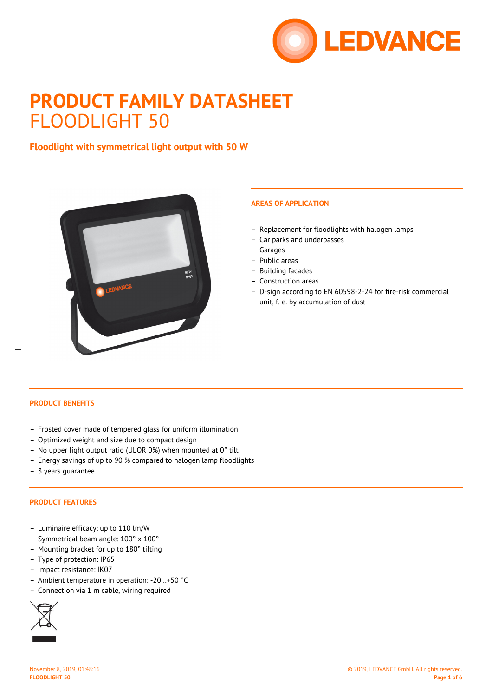

# **PRODUCT FAMILY DATASHEET** FLOODLIGHT 50

# **Floodlight with symmetrical light output with 50 W**



## **AREAS OF APPLICATION**

- Replacement for floodlights with halogen lamps
- Car parks and underpasses
- Garages
- Public areas
- Building facades
- Construction areas
- D-sign according to EN 60598-2-24 for fire-risk commercial unit, f. e. by accumulation of dust

 $\overline{a}$ 

## **PRODUCT BENEFITS**

- Frosted cover made of tempered glass for uniform illumination
- Optimized weight and size due to compact design
- No upper light output ratio (ULOR 0%) when mounted at 0° tilt
- Energy savings of up to 90 % compared to halogen lamp floodlights
- 3 years guarantee

## **PRODUCT FEATURES**

- Luminaire efficacy: up to 110 lm/W
- Symmetrical beam angle: 100° x 100°
- Mounting bracket for up to 180° tilting
- Type of protection: IP65
- Impact resistance: IK07
- Ambient temperature in operation: -20…+50 °C
- Connection via 1 m cable, wiring required

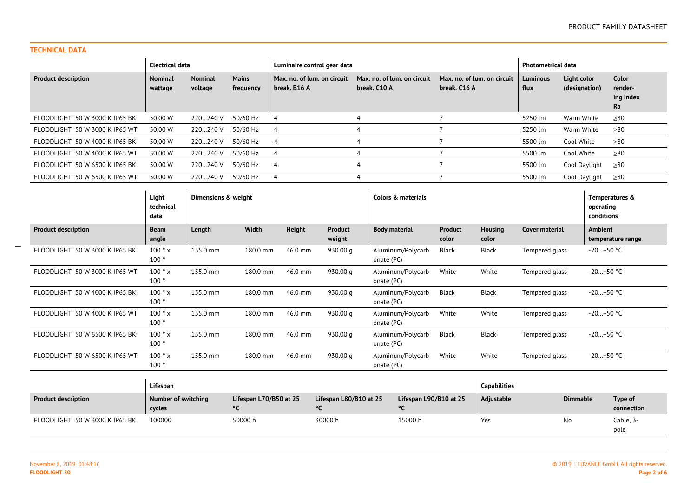## **TECHNICAL DATA**

 $\overline{\phantom{a}}$ 

|                                | Electrical data           |                           | Luminaire control gear data |                                             | <b>Photometrical data</b>                   |                                             |                         |                              |                                     |
|--------------------------------|---------------------------|---------------------------|-----------------------------|---------------------------------------------|---------------------------------------------|---------------------------------------------|-------------------------|------------------------------|-------------------------------------|
| <b>Product description</b>     | <b>Nominal</b><br>wattage | <b>Nominal</b><br>voltage | <b>Mains</b><br>frequency   | Max. no. of lum. on circuit<br>break. B16 A | Max, no. of lum, on circuit<br>break. C10 A | Max, no, of lum, on circuit<br>break. C16 A | <b>Luminous</b><br>flux | Light color<br>(designation) | Color<br>render-<br>ing index<br>Ra |
| FLOODLIGHT 50 W 3000 K IP65 BK | 50.00 W                   | 220240 V                  | 50/60 Hz                    | - 4                                         | 4                                           |                                             | 5250 lm                 | Warm White                   | $\geq 80$                           |
| FLOODLIGHT 50 W 3000 K IP65 WT | 50.00 W                   | 220240 V                  | 50/60 Hz                    | -4                                          |                                             |                                             | 5250 lm                 | Warm White                   | $\geq 80$                           |
| FLOODLIGHT 50 W 4000 K IP65 BK | 50.00 W                   | 220240 V                  | 50/60 Hz                    | -4                                          |                                             |                                             | 5500 lm                 | Cool White                   | $\geq 80$                           |
| FLOODLIGHT 50 W 4000 K IP65 WT | 50.00 W                   | 220240 V                  | 50/60 Hz                    | -4                                          |                                             |                                             | 5500 lm                 | Cool White                   | $\geq 80$                           |
| FLOODLIGHT 50 W 6500 K IP65 BK | 50.00 W                   | 220240 V                  | 50/60 Hz                    |                                             |                                             |                                             | 5500 lm                 | Cool Daylight                | $\geq 80$                           |
| FLOODLIGHT 50 W 6500 K IP65 WT | 50.00 W                   | 220240 V                  | 50/60 Hz                    | -4                                          | 4                                           |                                             | 5500 lm                 | Cool Daylight                | $\geq 80$                           |

|                                | Light<br>technical<br>data           | Dimensions & weight |                              |               |                              |                      | Colors & materials           |                         |                         |                       | operating<br>conditions | Temperatures &        |
|--------------------------------|--------------------------------------|---------------------|------------------------------|---------------|------------------------------|----------------------|------------------------------|-------------------------|-------------------------|-----------------------|-------------------------|-----------------------|
| <b>Product description</b>     | <b>Beam</b><br>angle                 | Length              | Width                        | <b>Height</b> | <b>Product</b><br>weight     | <b>Body material</b> |                              | <b>Product</b><br>color | <b>Housing</b><br>color | <b>Cover material</b> | <b>Ambient</b>          | temperature range     |
| FLOODLIGHT 50 W 3000 K IP65 BK | 100°x<br>100°                        | 155.0 mm            | 180.0 mm                     | 46.0 mm       | 930.00 g                     | onate (PC)           | Aluminum/Polycarb            | Black                   | <b>Black</b>            | Tempered glass        | $-20+50$ °C             |                       |
| FLOODLIGHT 50 W 3000 K IP65 WT | 100°x<br>100°                        | 155.0 mm            | 180.0 mm                     | 46.0 mm       | 930.00 g                     | onate (PC)           | Aluminum/Polycarb            | White                   | White                   | Tempered glass        | $-20+50$ °C             |                       |
| FLOODLIGHT 50 W 4000 K IP65 BK | 100°x<br>100°                        | 155.0 mm            | 180.0 mm                     | 46.0 mm       | 930.00 g                     | onate (PC)           | Aluminum/Polycarb            | Black                   | <b>Black</b>            | Tempered glass        | $-20+50$ °C             |                       |
| FLOODLIGHT 50 W 4000 K IP65 WT | 100°x<br>100°                        | 155.0 mm            | 180.0 mm                     | 46.0 mm       | 930.00 g                     | onate (PC)           | Aluminum/Polycarb            | White                   | White                   | Tempered glass        | $-20+50$ °C             |                       |
| FLOODLIGHT 50 W 6500 K IP65 BK | 100°x<br>100°                        | 155.0 mm            | 180.0 mm                     | 46.0 mm       | 930.00 g                     | onate (PC)           | Aluminum/Polycarb            | Black                   | <b>Black</b>            | Tempered glass        | $-20+50$ °C             |                       |
| FLOODLIGHT 50 W 6500 K IP65 WT | 100°x<br>100°                        | 155.0 mm            | 180.0 mm                     | 46.0 mm       | 930.00 $q$                   | onate (PC)           | Aluminum/Polycarb            | White                   | White                   | Tempered glass        | $-20+50$ °C             |                       |
|                                | Lifespan                             |                     |                              |               |                              |                      |                              |                         | <b>Capabilities</b>     |                       |                         |                       |
| <b>Product description</b>     | <b>Number of switching</b><br>cycles |                     | Lifespan L70/B50 at 25<br>°C |               | Lifespan L80/B10 at 25<br>°C |                      | Lifespan L90/B10 at 25<br>°C |                         | Adjustable              | <b>Dimmable</b>       |                         | Type of<br>connection |
| FLOODLIGHT 50 W 3000 K IP65 BK | 100000                               |                     | 50000 h                      |               | 30000 h                      |                      | 15000 h                      |                         | Yes                     | <b>No</b>             |                         | Cable, 3-<br>pole     |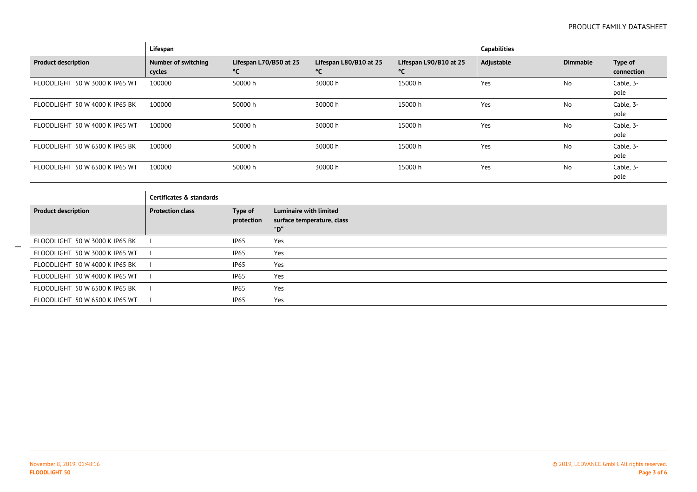|                                | Lifespan                             |                              |                                      |                              |                             | <b>Capabilities</b> |                 |                       |
|--------------------------------|--------------------------------------|------------------------------|--------------------------------------|------------------------------|-----------------------------|---------------------|-----------------|-----------------------|
| <b>Product description</b>     | <b>Number of switching</b><br>cycles | Lifespan L70/B50 at 25<br>°C |                                      | Lifespan L80/B10 at 25<br>°C | Lifespan L90/B10 at 25<br>℃ | Adjustable          | <b>Dimmable</b> | Type of<br>connection |
| FLOODLIGHT 50 W 3000 K IP65 WT | 100000                               | 50000 h                      |                                      | 30000 h                      | 15000 h                     | Yes                 | No              | Cable, 3-<br>pole     |
| FLOODLIGHT 50 W 4000 K IP65 BK | 100000                               | 50000 h                      |                                      | 30000 h                      | 15000 h                     | Yes                 | No              | Cable, 3-<br>pole     |
| FLOODLIGHT 50 W 4000 K IP65 WT | 100000                               | 50000 h                      |                                      | 30000 h                      | 15000 h                     | Yes                 | No              | Cable, 3-<br>pole     |
| FLOODLIGHT 50 W 6500 K IP65 BK | 100000                               | 50000 h                      |                                      | 30000 h                      | 15000 h                     | Yes                 | No              | Cable, 3-<br>pole     |
| FLOODLIGHT 50 W 6500 K IP65 WT | 100000                               | 50000 h                      |                                      | 30000 h                      | 15000 h                     | Yes                 | No              | Cable, 3-<br>pole     |
|                                | Certificates & standards             |                              |                                      |                              |                             |                     |                 |                       |
| <b>Product description</b>     | <b>Protection class</b>              | Type of<br>protection        | <b>Luminaire with limited</b><br>"D" | surface temperature, class   |                             |                     |                 |                       |
| FLOODLIGHT 50 W 3000 K IP65 BK |                                      | IP <sub>65</sub>             | Yes                                  |                              |                             |                     |                 |                       |
| FLOODLIGHT 50 W 3000 K IP65 WT |                                      | IP <sub>65</sub>             | Yes                                  |                              |                             |                     |                 |                       |
| FLOODLIGHT 50 W 4000 K IP65 BK |                                      | IP <sub>65</sub>             | Yes                                  |                              |                             |                     |                 |                       |
| FLOODLIGHT 50 W 4000 K IP65 WT |                                      | IP <sub>65</sub>             | Yes                                  |                              |                             |                     |                 |                       |
| FLOODLIGHT 50 W 6500 K IP65 BK |                                      | IP <sub>65</sub>             | Yes                                  |                              |                             |                     |                 |                       |
| FLOODLIGHT 50 W 6500 K IP65 WT |                                      | IP <sub>65</sub>             | Yes                                  |                              |                             |                     |                 |                       |

 $\overline{\phantom{a}}$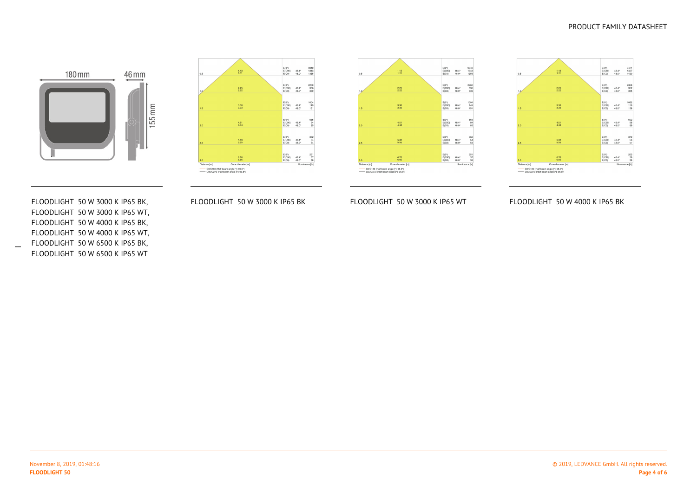#### PRODUCT FAMILY DATASHEET









FLOODLIGHT 50 W 3000 K IP65 BK,FLOODLIGHT 50 W 3000 K IP65 WT,FLOODLIGHT 50 W 4000 K IP65 BK,FLOODLIGHT 50 W 4000 K IP65 WT, FLOODLIGHT 50 W 6500 K IP65 BK,FLOODLIGHT 50 W 6500 K IP65 WT

 $\overline{\phantom{a}}$ 

FLOODLIGHT 50 W 3000 K IP65 BK

FLOODLIGHT 50 W 3000 K IP65 WT FLOODLIGHT 50 W 4000 K IP65 BK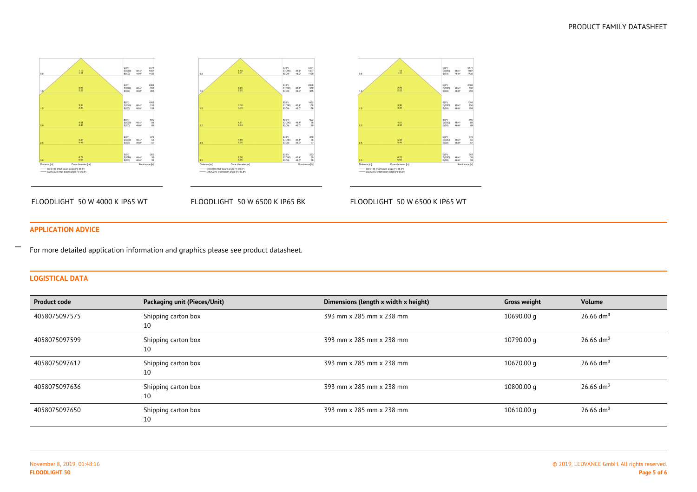





FLOODLIGHT 50 W 4000 K IP65 WT

FLOODLIGHT 50 W 6500 K IP65 BK

FLOODLIGHT 50 W 6500 K IP65 WT

## **APPLICATION ADVICE**

For more detailed application information and graphics please see product datasheet.

## **LOGISTICAL DATA**

 $\overline{\phantom{a}}$ 

| <b>Product code</b> | Packaging unit (Pieces/Unit) | Dimensions (length x width x height) | <b>Gross weight</b> | Volume                  |
|---------------------|------------------------------|--------------------------------------|---------------------|-------------------------|
| 4058075097575       | Shipping carton box<br>10    | 393 mm x 285 mm x 238 mm             | 10690.00 g          | $26.66$ dm <sup>3</sup> |
| 4058075097599       | Shipping carton box<br>10    | 393 mm x 285 mm x 238 mm             | 10790.00 q          | $26.66$ dm <sup>3</sup> |
| 4058075097612       | Shipping carton box<br>10    | 393 mm x 285 mm x 238 mm             | 10670.00 g          | 26.66 $dm3$             |
| 4058075097636       | Shipping carton box<br>10    | 393 mm x 285 mm x 238 mm             | 10800.00 g          | $26.66$ dm <sup>3</sup> |
| 4058075097650       | Shipping carton box<br>10    | 393 mm x 285 mm x 238 mm             | 10610.00 g          | 26.66 $dm3$             |